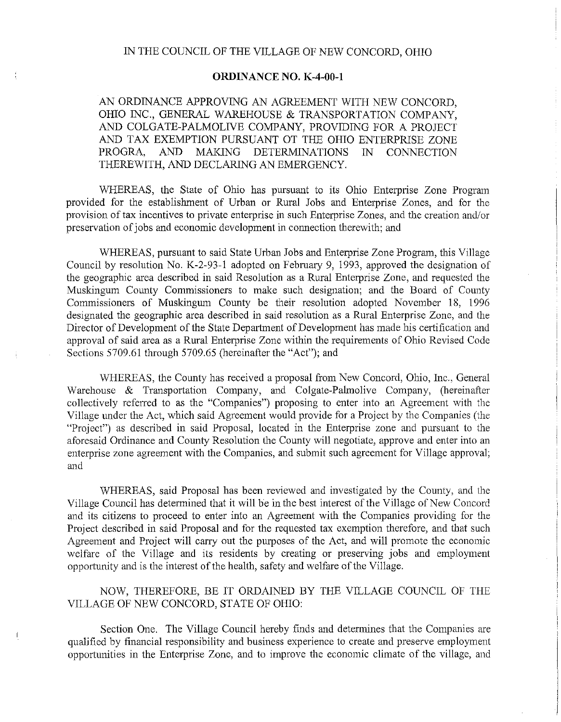## **ORDINANCE** NO. **K-4-00-1**

AN ORDINANCE APPROVING AN AGREEMENT WITH NEW CONCORD, OHIO INC., GENERAL WAREHOUSE & TRANSPORTATION COMPANY, AND COLGATE-PALMOLIVE COMPANY, PROVIDING FOR A PROJECT AND TAX EXEMPTION PURSUANT OT THE OHIO ENTERPRISE ZONE PROGRA. AND MAKING DETERMINATIONS IN CONNECTION AND MAKING DETERMINATIONS IN CONNECTION THEREWITH, AND DECLARING AN EMERGENCY.

WHEREAS, the State of Ohio has pursuant to its Ohio Enterprise Zone Program provided for the establishment of Urban or Rural Jobs and Enterprise Zones, and for the provision of tax incentives to private enterprise in such Enterprise Zones, and the creation and/or preservation of jobs and economic development in connection therewith; and

WHEREAS, pursuant to said State Urban Jobs and Enterprise Zone Program, this Village Council by resolution No. K-2-93-1 adopted on Febrnary 9, 1993, approved the designation of the geographic area described in said Resolution as a Rural Enterprise Zone, and requested the Muskingum Connty Commissioners to make such designation; and the Board of County Commissioners of Muskingum County be their resolution adopted November 18, 1996 designated the geographic area described in said resolution as a Rural Enterprise Zone, and the Director of Development of the State Department of Development has made his certification and approval of said area as a Rural Enterprise Zone within the requirements of Ohio Revised Code Sections 5709.61 through 5709.65 (hereinafter the "Act"); and

WHEREAS, the County has received a proposal from New Concord, Ohio, Inc., General Warehouse & Transportation Company, and Colgate-Palmolive Company, (hereinafter collectively referred to as the "Companies") proposing to enter into an Agreement with the Village under the Act, which said Agreement would provide for a Project by the Companies (the "Project") as described in said Proposal, located in the Enterprise zone and pursuant to the aforesaid Ordinance and County Resolution the County will negotiate, approve and enter into an enterprise zone agreement with the Companies, and submit such agreement for Village approval; and

WHEREAS, said Proposal has been reviewed and investigated by the County, and the Village Conncil has determined that it will be in the best interest of the Village of New Concord and its citizens to proceed to enter into an Agreement with the Companies providing for the Project described in said Proposal and for the requested tax exemption therefore, and that such Agreement and Project will carry out the purposes of the Act, and will promote the economic welfare of the Village and its residents by creating or preserving jobs and employment opportunity and is the interest of the health, safety and welfare of the Village.

## NOW, THEREFORE, BE IT ORDAINED BY THE VILLAGE COUNCIL OF THE VILLAGE OF NEW CONCORD, STATE OF OHIO:

Section One. The Village Council hereby finds and determines that the Companies are qualified by financial responsibility and business experience to create and preserve employment opportunities in the Enterprise Zone, and to improve the economic climate of the village, and